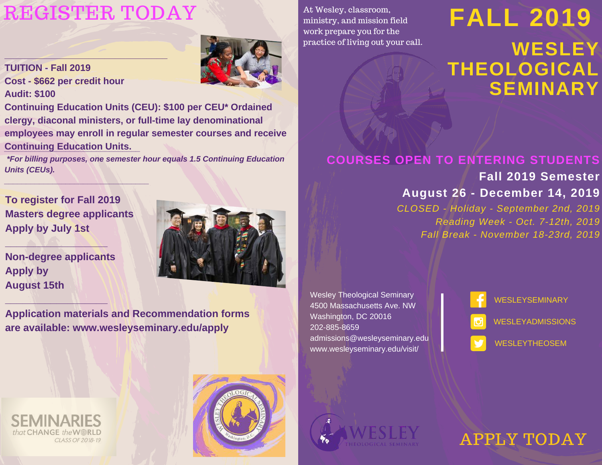# [REGISTER](https://www.wesleyseminary.edu/admissions-2/) TODAY At Wesley, classroom,<br>ministry, and mission field FALL 2019

**\_\_\_\_\_\_\_\_\_\_\_\_\_\_\_\_\_\_\_\_\_\_\_\_\_\_\_\_\_\_\_**



**TUITION - Fall 2019 Cost - \$662 per credit hour Audit: \$100**

**Continuing Education Units (CEU): \$100 per CEU\* Ordained clergy, diaconal ministers, or full-time lay denominational employees may enroll in regular semester courses and receive Continuing Education Units.** *\_\_\_\_\_\_\_\_\_\_\_\_\_\_\_\_\_\_\_\_\_\_\_\_\_\_\_\_\_\_\_*

*\*For billing purposes, one semester hour equals 1.5 Continuing Education Units (CEUs).*

**To register for Fall 2019 Masters degree applicants Apply by July 1st**

*\_\_\_\_\_\_\_\_\_\_\_\_\_\_\_\_\_\_\_\_\_\_\_\_\_\_\_\_\_\_\_\_\_*

**Non-degree applicants Apply by August 15th**

**\_\_\_\_\_\_\_\_\_\_\_\_\_\_\_\_\_\_**

**\_\_\_\_\_\_\_\_\_\_\_\_\_\_\_\_\_\_**



**Application materials and Recommendation forms are available: www.wesleyseminary.edu/apply**

At Wesley, classroom, ministry, and mission field work prepare you for the practice of living out your call.

# **WESLEY THEOLOGICAL SEMINARY**

# **COURSES OPEN TO ENTERING STUDENTS**

**Fall 2019 Semester August 26 - December 14, 2019**

*CLOSED - Holiday - September 2nd, 2019 Reading Week - Oct. 7-12th, 2019 Fall Break - November 18-23rd, 2019*

Wesley Theological Seminary 4500 Massachusetts Ave. NW Washington, DC 20016 202-885-8659 admissions@wesleyseminary.edu www.wesleyseminary.edu/visit/

**[WESLEYSEMINARY](https://www.facebook.com/wesleyseminary?fref=ts) [WESLEYADMISSIONS](https://www.instagram.com/wesleyadmissions/)** [WESLEYTHEOSEM](https://twitter.com/wesleytheosem)

that CHANGE the WWRLD CLASS OF 2018-19





APPLY [TODAY](https://www.wesleyseminary.edu/admissions-2/)